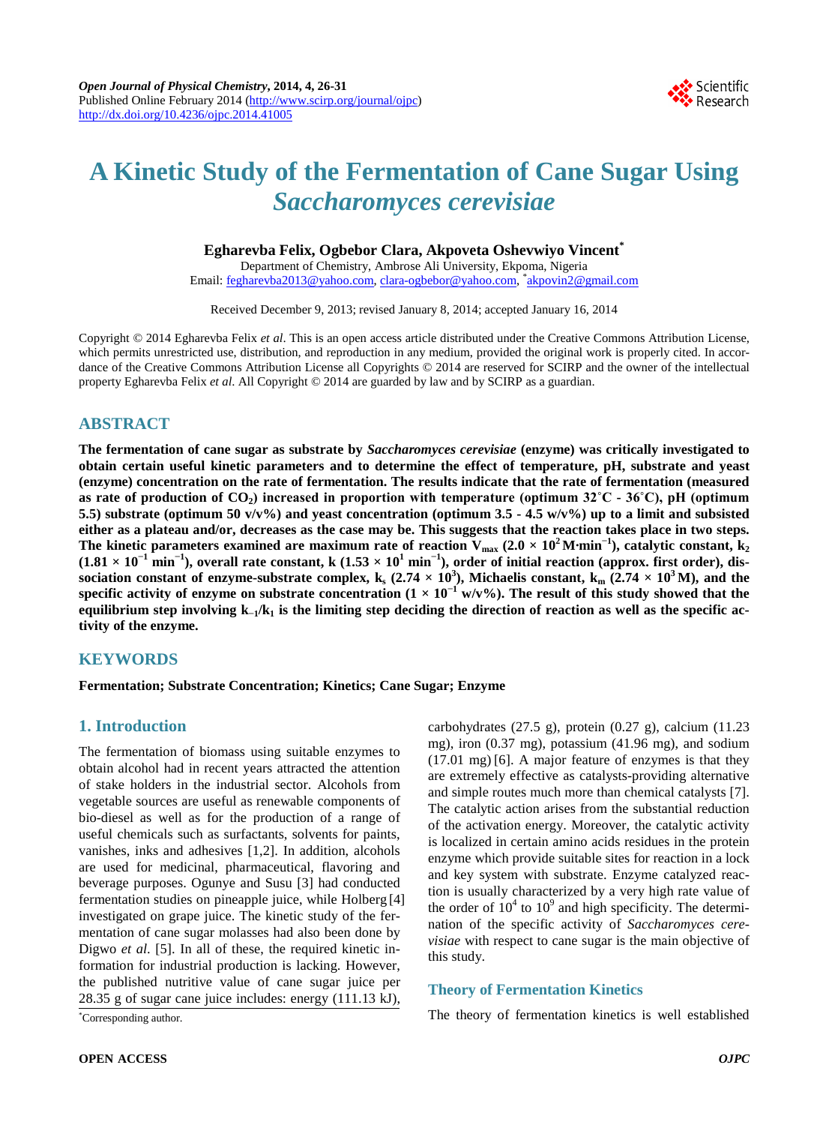

# **A Kinetic Study of the Fermentation of Cane Sugar Using**  *Saccharomyces cerevisiae*

### **Egharevba Felix, Ogbebor Clara, Akpoveta Oshevwiyo Vincent\***

Department of Chemistry, Ambrose Ali University, Ekpoma, Nigeria Email: <u>fegharevba2013@yahoo.com, [clara-ogbebor@yahoo.com,](mailto:clara-ogbebor@yahoo.com) \*[akpovin2@gmail.com](mailto:akpovin2@gmail.com)</u>

Received December 9, 2013; revised January 8, 2014; accepted January 16, 2014

Copyright © 2014 Egharevba Felix *et al*. This is an open access article distributed under the Creative Commons Attribution License, which permits unrestricted use, distribution, and reproduction in any medium, provided the original work is properly cited. In accordance of the Creative Commons Attribution License all Copyrights © 2014 are reserved for SCIRP and the owner of the intellectual property Egharevba Felix *et al*. All Copyright © 2014 are guarded by law and by SCIRP as a guardian.

## **ABSTRACT**

**The fermentation of cane sugar as substrate by** *Saccharomyces cerevisiae* **(enzyme) was critically investigated to obtain certain useful kinetic parameters and to determine the effect of temperature, pH, substrate and yeast (enzyme) concentration on the rate of fermentation. The results indicate that the rate of fermentation (measured as rate of production of**  $CO_2$ **) increased in proportion with temperature (optimum**  $32^{\circ}C - 36^{\circ}C$ **), pH (optimum 5.5) substrate (optimum 50 v/v%) and yeast concentration (optimum 3.5 - 4.5 w/v%) up to a limit and subsisted either as a plateau and/or, decreases as the case may be. This suggests that the reaction takes place in two steps.**  The kinetic parameters examined are maximum rate of reaction  $V_{max}$  (2.0  $\times$  10<sup>2</sup> M·min<sup>-1</sup>), catalytic constant, k<sub>2</sub>  $(1.81 \times 10^{-1} \text{ min}^{-1})$ , overall rate constant, k  $(1.53 \times 10^{1} \text{ min}^{-1})$ , order of initial reaction (approx. first order), dissociation constant of enzyme-substrate complex,  $k_s$  (2.74  $\times$  10<sup>3</sup>), Michaelis constant,  $k_m$  (2.74  $\times$  10<sup>3</sup> M), and the **specific activity of enzyme on substrate concentration (1 × 10<sup>−</sup><sup>1</sup> w/v%). The result of this study showed that the equilibrium step involving k−1/k1 is the limiting step deciding the direction of reaction as well as the specific activity of the enzyme.**

## **KEYWORDS**

**Fermentation; Substrate Concentration; Kinetics; Cane Sugar; Enzyme**

## **1. Introduction**

The fermentation of biomass using suitable enzymes to obtain alcohol had in recent years attracted the attention of stake holders in the industrial sector. Alcohols from vegetable sources are useful as renewable components of bio-diesel as well as for the production of a range of useful chemicals such as surfactants, solvents for paints, vanishes, inks and adhesives [1,2]. In addition, alcohols are used for medicinal, pharmaceutical, flavoring and beverage purposes. Ogunye and Susu [3] had conducted fermentation studies on pineapple juice, while Holberg [4] investigated on grape juice. The kinetic study of the fermentation of cane sugar molasses had also been done by Digwo *et al*. [5]. In all of these, the required kinetic information for industrial production is lacking. However, the published nutritive value of cane sugar juice per 28.35 g of sugar cane juice includes: energy (111.13 kJ),

Corresponding author.

carbohydrates (27.5 g), protein (0.27 g), calcium (11.23 mg), iron (0.37 mg), potassium (41.96 mg), and sodium (17.01 mg) [6]. A major feature of enzymes is that they are extremely effective as catalysts-providing alternative and simple routes much more than chemical catalysts [7]. The catalytic action arises from the substantial reduction of the activation energy. Moreover, the catalytic activity is localized in certain amino acids residues in the protein enzyme which provide suitable sites for reaction in a lock and key system with substrate. Enzyme catalyzed reaction is usually characterized by a very high rate value of the order of  $10^4$  to  $10^9$  and high specificity. The determination of the specific activity of *Saccharomyces cerevisiae* with respect to cane sugar is the main objective of this study.

## **Theory of Fermentation Kinetics**

The theory of fermentation kinetics is well established \*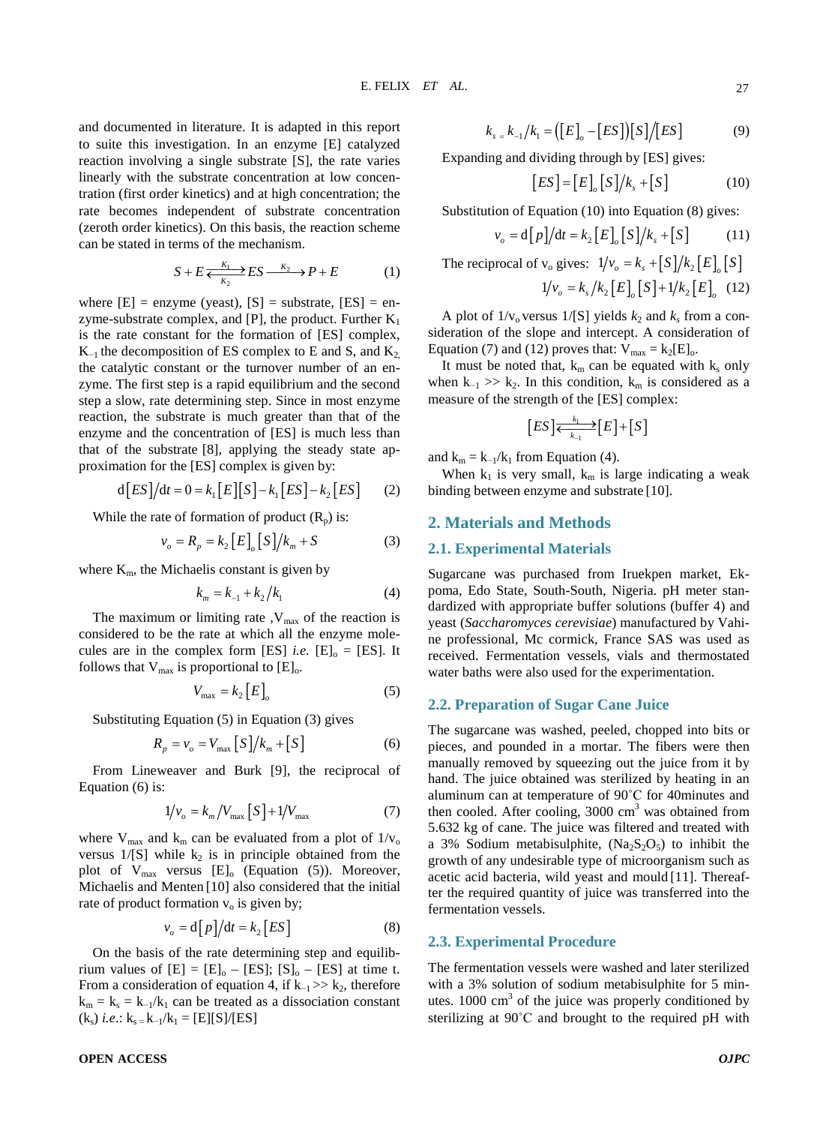and documented in literature. It is adapted in this report to suite this investigation. In an enzyme [E] catalyzed reaction involving a single substrate [S], the rate varies linearly with the substrate concentration at low concentration (first order kinetics) and at high concentration; the rate becomes independent of substrate concentration (zeroth order kinetics). On this basis, the reaction scheme can be stated in terms of the mechanism.

$$
S + E \xleftarrow[K_1]{K_1} ES \xrightarrow[K_2]{K_2} P + E \tag{1}
$$

where  $[E]$  = enzyme (yeast),  $[S]$  = substrate,  $[ES]$  = enzyme-substrate complex, and [P], the product. Further  $K_1$ is the rate constant for the formation of [ES] complex,  $K_{-1}$  the decomposition of ES complex to E and S, and  $K_2$ the catalytic constant or the turnover number of an enzyme. The first step is a rapid equilibrium and the second step a slow, rate determining step. Since in most enzyme reaction, the substrate is much greater than that of the enzyme and the concentration of [ES] is much less than that of the substrate [8], applying the steady state approximation for the [ES] complex is given by:

$$
d[ES]/dt = 0 = k_1[E][S] - k_1[ES] - k_2[ES]
$$
 (2)

While the rate of formation of product  $(R_p)$  is:

$$
v_o = R_p = k_2 [E]_o [S] / k_m + S
$$
 (3)

where  $K<sub>m</sub>$ , the Michaelis constant is given by

$$
k_m = k_{-1} + k_2 / k_1 \tag{4}
$$

The maximum or limiting rate  $V_{\text{max}}$  of the reaction is considered to be the rate at which all the enzyme molecules are in the complex form [ES] *i.e.* [E]<sub>0</sub> = [ES]. It follows that  $V_{\text{max}}$  is proportional to  $[E]_0$ .

$$
V_{\text{max}} = k_2 \left[ E \right]_o \tag{5}
$$

Substituting Equation (5) in Equation (3) gives

$$
R_p = v_o = V_{\text{max}} \left[ S \right] / k_m + \left[ S \right] \tag{6}
$$

From Lineweaver and Burk [9], the reciprocal of Equation (6) is:

$$
1/v_o = k_m / V_{\text{max}} [S] + 1 / V_{\text{max}} \tag{7}
$$

where  $V_{max}$  and  $k_m$  can be evaluated from a plot of  $1/v_0$ versus  $1/[S]$  while  $k_2$  is in principle obtained from the plot of  $V_{\text{max}}$  versus  $[E]_0$  (Equation (5)). Moreover, Michaelis and Menten [10] also considered that the initial rate of product formation  $v_0$  is given by;

$$
v_o = d[p]/dt = k_2 [ES]
$$
 (8)

On the basis of the rate determining step and equilibrium values of  $[E] = [E]_0 - [ES]$ ;  $[S]_0 - [ES]$  at time t. From a consideration of equation 4, if  $k_{-1} >> k_2$ , therefore  $k_m = k_s = k_{-1}/k_1$  can be treated as a dissociation constant  $(k_s)$  *i.e.*:  $k_s = k_{-1}/k_1 = [E][S]/[ES]$ 

## $k_{s} = k_{-1}/k_{1} = (\lceil E \rceil - \lceil ES \rceil) \lceil S \rceil / \lceil ES \rceil$  (9)

Expanding and dividing through by [ES] gives:

$$
[ES] = [E]_o [S] / k_s + [S]
$$
 (10)

Substitution of Equation (10) into Equation (8) gives:

$$
v_o = d[p]/dt = k_2 [E]_o [S]/k_s + [S]
$$
 (11)

The reciprocal of  $v_0$  gives:  $1/v_0 = k_s + [S]/k_s [E] [S]$  $1/v_{o} = k_{s}/k_{o} [E] [S]+1/k_{o} [E]$  (12)

A plot of  $1/v_0$  versus  $1/[S]$  yields  $k_2$  and  $k_s$  from a consideration of the slope and intercept. A consideration of Equation (7) and (12) proves that:  $V_{max} = k_2[E]_0$ .

It must be noted that,  $k_m$  can be equated with  $k_s$  only when  $k_{-1} >> k_2$ . In this condition,  $k_m$  is considered as a measure of the strength of the [ES] complex:

$$
[ES] \xleftarrow[k_1]{k_1} [E] + [S]
$$

and  $k_m = k_{-1}/k_1$  from Equation (4).

When  $k_1$  is very small,  $k_m$  is large indicating a weak binding between enzyme and substrate [10].

#### **2. Materials and Methods**

#### **2.1. Experimental Materials**

Sugarcane was purchased from Iruekpen market, Ekpoma, Edo State, South-South, Nigeria. pH meter standardized with appropriate buffer solutions (buffer 4) and yeast (*Saccharomyces cerevisiae*) manufactured by Vahine professional, Mc cormick, France SAS was used as received. Fermentation vessels, vials and thermostated water baths were also used for the experimentation.

#### **2.2. Preparation of Sugar Cane Juice**

The sugarcane was washed, peeled, chopped into bits or pieces, and pounded in a mortar. The fibers were then manually removed by squeezing out the juice from it by hand. The juice obtained was sterilized by heating in an aluminum can at temperature of 90˚C for 40minutes and then cooled. After cooling,  $3000 \text{ cm}^3$  was obtained from 5.632 kg of cane. The juice was filtered and treated with a 3% Sodium metabisulphite,  $(Na<sub>2</sub>S<sub>2</sub>O<sub>5</sub>)$  to inhibit the growth of any undesirable type of microorganism such as acetic acid bacteria, wild yeast and mould [11]. Thereafter the required quantity of juice was transferred into the fermentation vessels.

#### **2.3. Experimental Procedure**

The fermentation vessels were washed and later sterilized with a 3% solution of sodium metabisulphite for 5 minutes.  $1000 \text{ cm}^3$  of the juice was properly conditioned by sterilizing at 90˚C and brought to the required pH with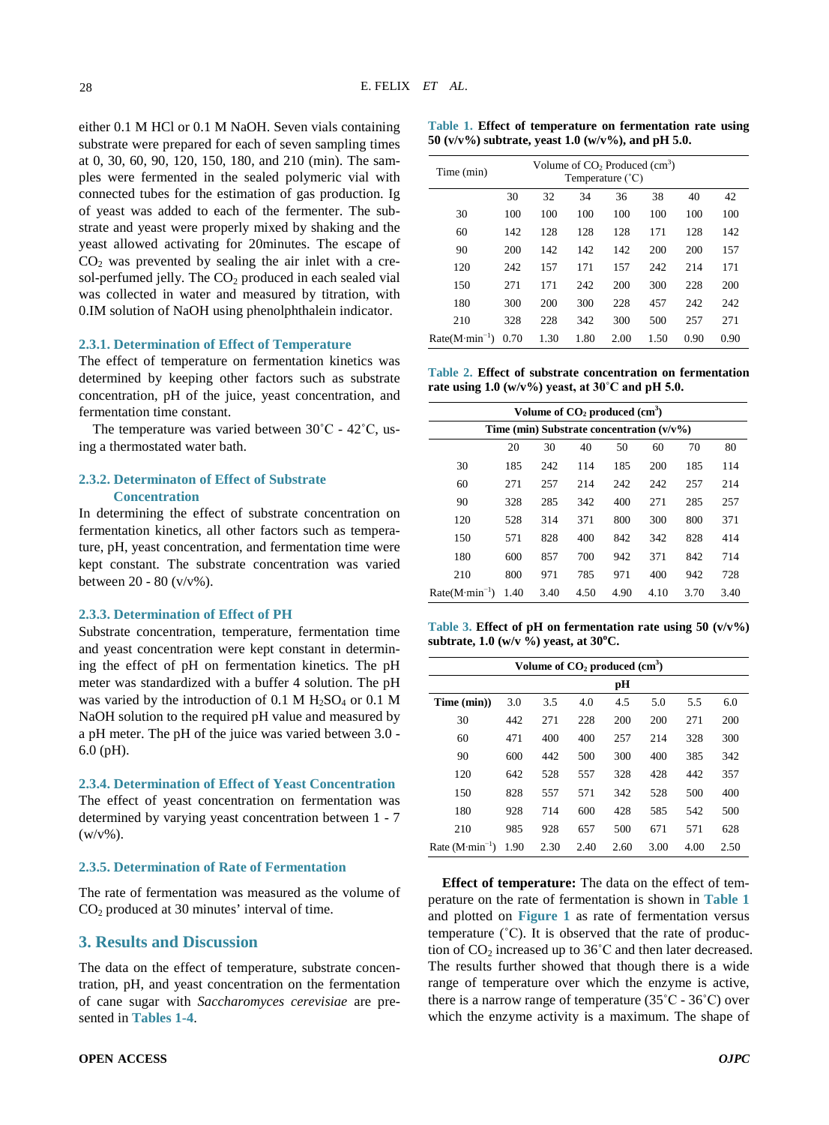either 0.1 M HCl or 0.1 M NaOH. Seven vials containing substrate were prepared for each of seven sampling times at 0, 30, 60, 90, 120, 150, 180, and 210 (min). The samples were fermented in the sealed polymeric vial with connected tubes for the estimation of gas production. Ig of yeast was added to each of the fermenter. The substrate and yeast were properly mixed by shaking and the yeast allowed activating for 20minutes. The escape of  $CO<sub>2</sub>$  was prevented by sealing the air inlet with a cresol-perfumed jelly. The  $CO<sub>2</sub>$  produced in each sealed vial was collected in water and measured by titration, with 0.IM solution of NaOH using phenolphthalein indicator.

#### **2.3.1. Determination of Effect of Temperature**

The effect of temperature on fermentation kinetics was determined by keeping other factors such as substrate concentration, pH of the juice, yeast concentration, and fermentation time constant.

The temperature was varied between 30˚C - 42˚C, using a thermostated water bath.

#### **2.3.2. Determinaton of Effect of Substrate Concentration**

In determining the effect of substrate concentration on fermentation kinetics, all other factors such as temperature, pH, yeast concentration, and fermentation time were kept constant. The substrate concentration was varied between 20 - 80 (v/v%).

#### **2.3.3. Determination of Effect of PH**

Substrate concentration, temperature, fermentation time and yeast concentration were kept constant in determining the effect of pH on fermentation kinetics. The pH meter was standardized with a buffer 4 solution. The pH was varied by the introduction of 0.1 M  $H<sub>2</sub>SO<sub>4</sub>$  or 0.1 M NaOH solution to the required pH value and measured by a pH meter. The pH of the juice was varied between 3.0 - 6.0 (pH).

#### **2.3.4. Determination of Effect of Yeast Concentration**

The effect of yeast concentration on fermentation was determined by varying yeast concentration between 1 - 7  $(w/v\%)$ .

#### **2.3.5. Determination of Rate of Fermentation**

The rate of fermentation was measured as the volume of CO2 produced at 30 minutes' interval of time.

## **3. Results and Discussion**

The data on the effect of temperature, substrate concentration, pH, and yeast concentration on the fermentation of cane sugar with *Saccharomyces cerevisiae* are presented in **[Tables 1-4](#page-2-0)**.

<span id="page-2-0"></span>

| Table 1. Effect of temperature on fermentation rate using   |  |
|-------------------------------------------------------------|--|
| 50 ( $v/v\%$ ) subtrate, yeast 1.0 ( $w/v\%$ ), and pH 5.0. |  |

| Time (min)      | Volume of $CO2$ Produced $(cm3)$<br>Temperature (°C) |      |      |      |      |      |      |
|-----------------|------------------------------------------------------|------|------|------|------|------|------|
|                 | 30                                                   | 32   | 34   | 36   | 38   | 40   | 42   |
| 30              | 100                                                  | 100  | 100  | 100  | 100  | 100  | 100  |
| 60              | 142                                                  | 128  | 128  | 128  | 171  | 128  | 142  |
| 90              | 200                                                  | 142  | 142  | 142  | 200  | 200  | 157  |
| 120             | 242                                                  | 157  | 171  | 157  | 242  | 214  | 171  |
| 150             | 271                                                  | 171  | 242  | 200  | 300  | 228  | 200  |
| 180             | 300                                                  | 200  | 300  | 228  | 457  | 242  | 242  |
| 210             | 328                                                  | 228  | 342  | 300  | 500  | 257  | 271  |
| $Rate(M·min-1)$ | 0.70                                                 | 1.30 | 1.80 | 2.00 | 1.50 | 0.90 | 0.90 |

<span id="page-2-1"></span>**Table 2. Effect of substrate concentration on fermentation rate using 1.0 (w/v%) yeast, at 30˚C and pH 5.0.**

| Volume of CO <sub>2</sub> produced (cm <sup>3</sup> ) |      |      |      |      |      |      |      |
|-------------------------------------------------------|------|------|------|------|------|------|------|
| Time (min) Substrate concentration $(v/v\%)$          |      |      |      |      |      |      |      |
|                                                       | 20   | 30   | 40   | 50   | 60   | 70   | 80   |
| 30                                                    | 185  | 242  | 114  | 185  | 200  | 185  | 114  |
| 60                                                    | 271  | 257  | 214  | 242  | 242  | 257  | 214  |
| 90                                                    | 328  | 285  | 342  | 400  | 271  | 285  | 257  |
| 120                                                   | 528  | 314  | 371  | 800  | 300  | 800  | 371  |
| 150                                                   | 571  | 828  | 400  | 842  | 342  | 828  | 414  |
| 180                                                   | 600  | 857  | 700  | 942  | 371  | 842  | 714  |
| 210                                                   | 800  | 971  | 785  | 971  | 400  | 942  | 728  |
| $Rate(M·min-1)$                                       | 1.40 | 3.40 | 4.50 | 4.90 | 4.10 | 3.70 | 3.40 |

<span id="page-2-2"></span>**Table 3. Effect of pH on fermentation rate using 50 (v/v%) subtrate, 1.0 (w/v %) yeast, at 30<sup>o</sup> C.**

| Volume of $CO2$ produced $(cm3)$ |      |      |      |      |      |      |      |
|----------------------------------|------|------|------|------|------|------|------|
|                                  |      |      |      | pН   |      |      |      |
| Time (min))                      | 3.0  | 3.5  | 4.0  | 4.5  | 5.0  | 5.5  | 6.0  |
| 30                               | 442  | 271  | 228  | 200  | 200  | 271  | 200  |
| 60                               | 471  | 400  | 400  | 257  | 214  | 328  | 300  |
| 90                               | 600  | 442  | 500  | 300  | 400  | 385  | 342  |
| 120                              | 642  | 528  | 557  | 328  | 428  | 442  | 357  |
| 150                              | 828  | 557  | 571  | 342  | 528  | 500  | 400  |
| 180                              | 928  | 714  | 600  | 428  | 585  | 542  | 500  |
| 210                              | 985  | 928  | 657  | 500  | 671  | 571  | 628  |
| Rate $(M·min-1)$                 | 1.90 | 2.30 | 2.40 | 2.60 | 3.00 | 4.00 | 2.50 |

**Effect of temperature:** The data on the effect of temperature on the rate of fermentation is shown in **[Table 1](#page-2-0)** and plotted on **[Figure 1](#page-3-0)** as rate of fermentation versus temperature  $(^{\circ}C)$ . It is observed that the rate of production of  $CO<sub>2</sub>$  increased up to 36°C and then later decreased. The results further showed that though there is a wide range of temperature over which the enzyme is active, there is a narrow range of temperature  $(35^{\circ}C - 36^{\circ}C)$  over which the enzyme activity is a maximum. The shape of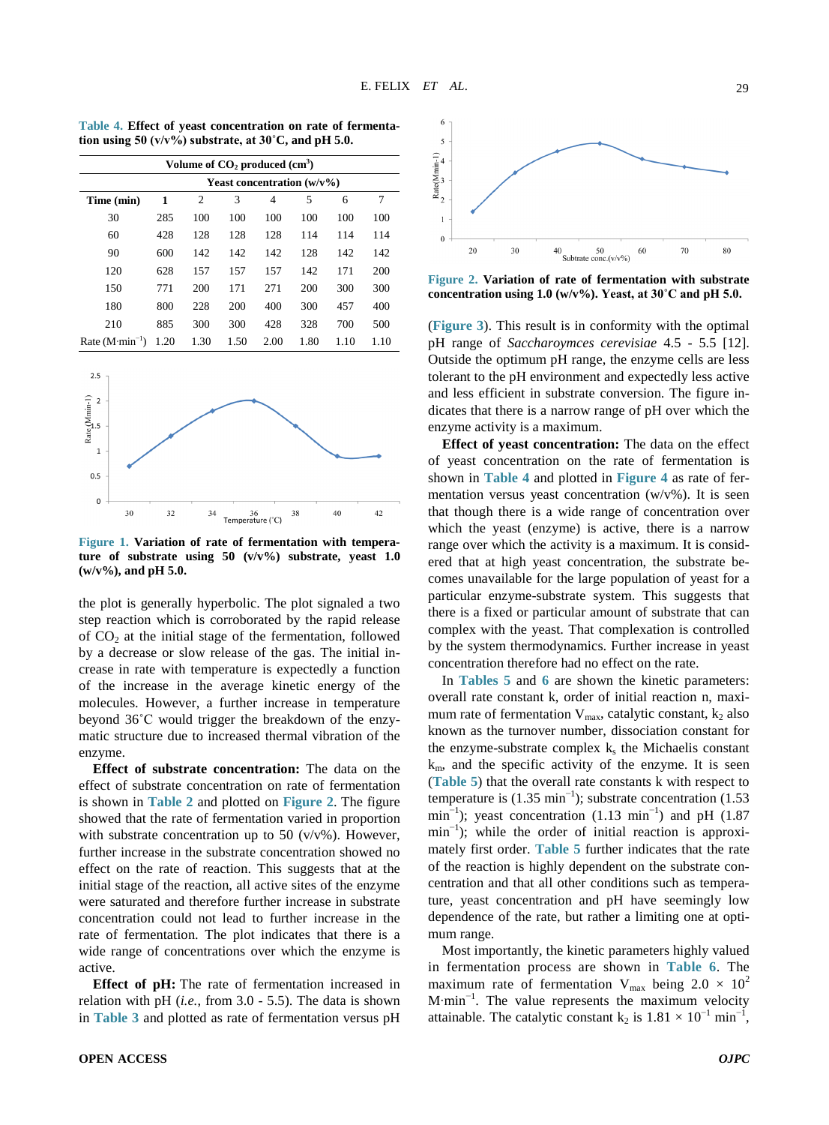**Volume of CO2 produced (cm3 ) Yeast concentration (w/v%) Time (min) 1** 2 3 4 5 6 7 30 285 100 100 100 100 100 100 60 428 128 128 128 114 114 114 90 600 142 142 142 128 142 142 120 628 157 157 157 142 171 200 150 771 200 171 271 200 300 300 180 800 228 200 400 300 457 400 210 885 300 300 428 328 700 500 Rate  $(M·min<sup>-1</sup>)$ ) 1.20 1.30 1.50 2.00 1.80 1.10 1.10

<span id="page-3-2"></span>**Table 4. Effect of yeast concentration on rate of fermentation using 50 (v/v%) substrate, at 30˚C, and pH 5.0.**

<span id="page-3-0"></span>

**Figure 1. Variation of rate of fermentation with temperature of substrate using 50 (v/v%) substrate, yeast 1.0 (w/v%), and pH 5.0.**

the plot is generally hyperbolic. The plot signaled a two step reaction which is corroborated by the rapid release of  $CO<sub>2</sub>$  at the initial stage of the fermentation, followed by a decrease or slow release of the gas. The initial increase in rate with temperature is expectedly a function of the increase in the average kinetic energy of the molecules. However, a further increase in temperature beyond 36˚C would trigger the breakdown of the enzymatic structure due to increased thermal vibration of the enzyme.

**Effect of substrate concentration:** The data on the effect of substrate concentration on rate of fermentation is shown in **[Table 2](#page-2-1)** and plotted on **[Figure 2](#page-3-1)**. The figure showed that the rate of fermentation varied in proportion with substrate concentration up to 50 ( $v/v$ %). However, further increase in the substrate concentration showed no effect on the rate of reaction. This suggests that at the initial stage of the reaction, all active sites of the enzyme were saturated and therefore further increase in substrate concentration could not lead to further increase in the rate of fermentation. The plot indicates that there is a wide range of concentrations over which the enzyme is active.

**Effect of pH:** The rate of fermentation increased in relation with pH (*i.e.*, from 3.0 - 5.5). The data is shown in **[Table 3](#page-2-2)** and plotted as rate of fermentation versus pH

<span id="page-3-1"></span>

**Figure 2. Variation of rate of fermentation with substrate concentration using 1.0 (w/v%). Yeast, at 30˚C and pH 5.0.**

(**[Figure 3](#page-4-0)**). This result is in conformity with the optimal pH range of *Saccharoymces cerevisiae* 4.5 - 5.5 [12]. Outside the optimum pH range, the enzyme cells are less tolerant to the pH environment and expectedly less active and less efficient in substrate conversion. The figure indicates that there is a narrow range of pH over which the enzyme activity is a maximum.

**Effect of yeast concentration:** The data on the effect of yeast concentration on the rate of fermentation is shown in **[Table 4](#page-3-2)** and plotted in **[Figure 4](#page-4-1)** as rate of fermentation versus yeast concentration  $(w/v\%)$ . It is seen that though there is a wide range of concentration over which the yeast (enzyme) is active, there is a narrow range over which the activity is a maximum. It is considered that at high yeast concentration, the substrate becomes unavailable for the large population of yeast for a particular enzyme-substrate system. This suggests that there is a fixed or particular amount of substrate that can complex with the yeast. That complexation is controlled by the system thermodynamics. Further increase in yeast concentration therefore had no effect on the rate.

In **[Tables 5](#page-4-2)** and **[6](#page-4-3)** are shown the kinetic parameters: overall rate constant k, order of initial reaction n, maximum rate of fermentation  $V_{\text{max}}$ , catalytic constant,  $k_2$  also known as the turnover number, dissociation constant for the enzyme-substrate complex  $k<sub>s</sub>$  the Michaelis constant  $k<sub>m</sub>$ , and the specific activity of the enzyme. It is seen (**[Table 5](#page-4-2)**) that the overall rate constants k with respect to temperature is  $(1.35 \text{ min}^{-1})$ ; substrate concentration  $(1.53$ min<sup>-1</sup>); yeast concentration  $(1.13 \text{ min}^{-1})$  and pH  $(1.87 \text{ min}^{-1})$ min<sup>-1</sup>); while the order of initial reaction is approximately first order. **[Table 5](#page-4-2)** further indicates that the rate of the reaction is highly dependent on the substrate concentration and that all other conditions such as temperature, yeast concentration and pH have seemingly low dependence of the rate, but rather a limiting one at optimum range.

Most importantly, the kinetic parameters highly valued in fermentation process are shown in **[Table 6](#page-4-3)**. The maximum rate of fermentation V<sub>max</sub> being  $2.0 \times 10^2$ M∙min<sup>−</sup><sup>1</sup> . The value represents the maximum velocity attainable. The catalytic constant  $k_2$  is  $1.81 \times 10^{-1}$  min<sup>-1</sup>,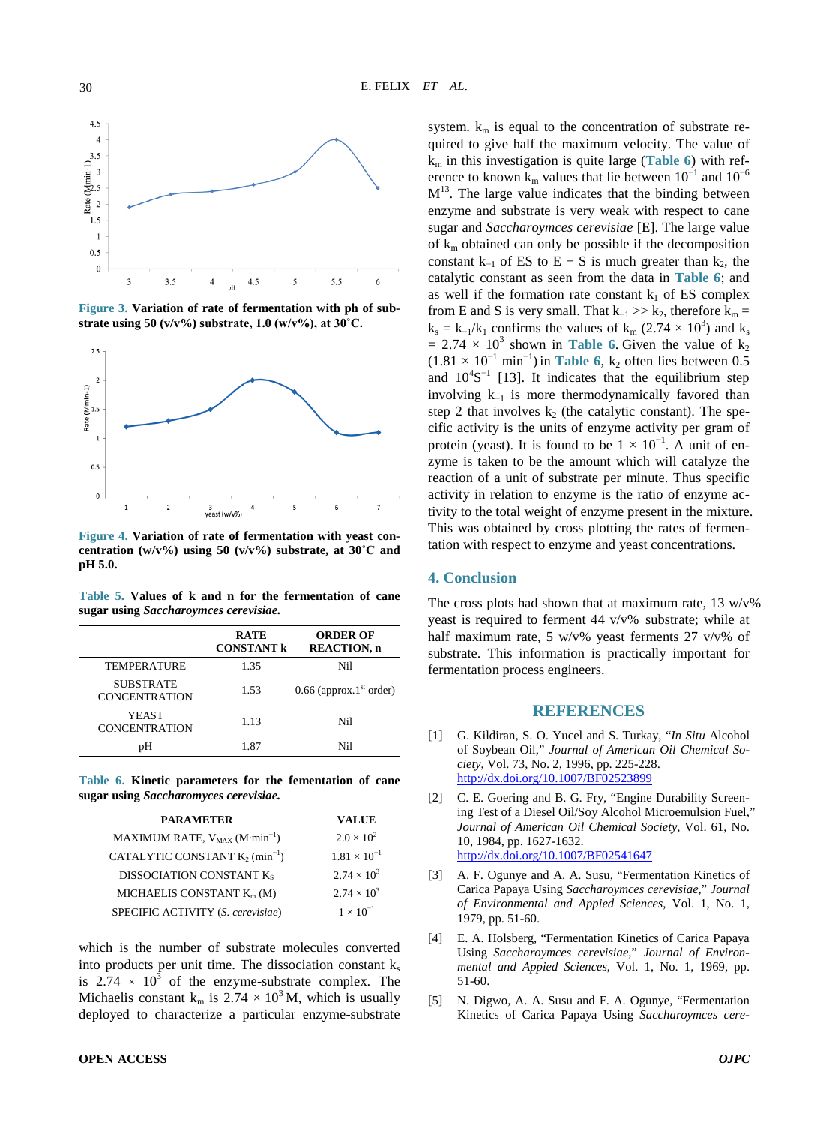<span id="page-4-0"></span>

**Figure 3. Variation of rate of fermentation with ph of substrate using 50**  $(v/v\%)$  **substrate, 1.0**  $(w/v\%)$ , at  $30^{\circ}$ C.

<span id="page-4-1"></span>

**Figure 4. Variation of rate of fermentation with yeast concentration (w/v%) using 50 (v/v%) substrate, at 30˚C and pH 5.0.**

<span id="page-4-2"></span>**Table 5. Values of k and n for the fermentation of cane sugar using** *Saccharoymces cerevisiae.*

|                                          | <b>RATE</b><br><b>CONSTANT k</b> | <b>ORDER OF</b><br><b>REACTION, n</b> |
|------------------------------------------|----------------------------------|---------------------------------------|
| TEMPERATURE                              | 1.35                             | Nil                                   |
| <b>SUBSTRATE</b><br><b>CONCENTRATION</b> | 1.53                             | $0.66$ (approx.1 <sup>st</sup> order) |
| YEAST<br><b>CONCENTRATION</b>            | 1.13                             | Nil                                   |
| pН                                       | 1.87                             | Nil.                                  |

<span id="page-4-3"></span>**Table 6. Kinetic parameters for the fementation of cane sugar using** *Saccharomyces cerevisiae.*

| <b>PARAMETER</b>                               | <b>VALUE</b>          |
|------------------------------------------------|-----------------------|
| MAXIMUM RATE, $V_{MAX}$ (M·min <sup>-1</sup> ) | $2.0 \times 10^{2}$   |
| CATALYTIC CONSTANT $K_2$ (min <sup>-1</sup> )  | $1.81 \times 10^{-1}$ |
| DISSOCIATION CONSTANT Ks                       | $2.74 \times 10^{3}$  |
| MICHAELIS CONSTANT $K_m(M)$                    | $2.74 \times 10^{3}$  |
| SPECIFIC ACTIVITY (S. cerevisiae)              | $1 \times 10^{-1}$    |

which is the number of substrate molecules converted into products per unit time. The dissociation constant  $k_s$ is  $2.74 \times 10^3$  of the enzyme-substrate complex. The Michaelis constant k<sub>m</sub> is  $2.74 \times 10^3$  M, which is usually deployed to characterize a particular enzyme-substrate system.  $k_m$  is equal to the concentration of substrate required to give half the maximum velocity. The value of km in this investigation is quite large (**[Table 6](#page-4-3)**) with reference to known k<sub>m</sub> values that lie between  $10^{-1}$  and  $10^{-6}$  $M<sup>13</sup>$ . The large value indicates that the binding between enzyme and substrate is very weak with respect to cane sugar and *Saccharoymces cerevisiae* [E]. The large value of  $k_m$  obtained can only be possible if the decomposition constant k<sub>−1</sub> of ES to E + S is much greater than k<sub>2</sub>, the catalytic constant as seen from the data in **[Table 6](#page-4-3)**; and as well if the formation rate constant  $k_1$  of ES complex from E and S is very small. That  $k_{-1} >> k_2$ , therefore  $k_m =$  $k_s = k_{-1}/k_1$  confirms the values of  $k_m$  (2.74 × 10<sup>3</sup>) and  $k_s$  $= 2.74 \times 10^3$  shown in **[Table 6](#page-4-3)**. Given the value of k<sub>2</sub>  $(1.81 \times 10^{-1} \text{ min}^{-1})$  in **[Table 6](#page-4-3)**, k<sub>2</sub> often lies between 0.5 and  $10^4S^{-1}$  [13]. It indicates that the equilibrium step involving k−<sup>1</sup> is more thermodynamically favored than step 2 that involves  $k_2$  (the catalytic constant). The specific activity is the units of enzyme activity per gram of protein (yeast). It is found to be  $1 \times 10^{-1}$ . A unit of enzyme is taken to be the amount which will catalyze the reaction of a unit of substrate per minute. Thus specific activity in relation to enzyme is the ratio of enzyme activity to the total weight of enzyme present in the mixture. This was obtained by cross plotting the rates of fermentation with respect to enzyme and yeast concentrations.

#### **4. Conclusion**

The cross plots had shown that at maximum rate,  $13 \text{ w/v\%}$ yeast is required to ferment 44 v/v% substrate; while at half maximum rate, 5 w/v% yeast ferments 27 v/v% of substrate. This information is practically important for fermentation process engineers.

#### **REFERENCES**

- [1] G. Kildiran, S. O. Yucel and S. Turkay, "*In Situ* Alcohol of Soybean Oil," *Journal of American Oil Chemical Society*, Vol. 73, No. 2, 1996, pp. 225-228. <http://dx.doi.org/10.1007/BF02523899>
- [2] C. E. Goering and B. G. Fry, "Engine Durability Screening Test of a Diesel Oil/Soy Alcohol Microemulsion Fuel," *Journal of American Oil Chemical Society*, Vol. 61, No. 10, 1984, pp. 1627-1632. <http://dx.doi.org/10.1007/BF02541647>
- [3] A. F. Ogunye and A. A. Susu, "Fermentation Kinetics of Carica Papaya Using *Saccharoymces cerevisiae*," *Journal of Environmental and Appied Sciences*, Vol. 1, No. 1, 1979, pp. 51-60.
- [4] E. A. Holsberg, "Fermentation Kinetics of Carica Papaya Using *Saccharoymces cerevisiae*," *Journal of Environmental and Appied Sciences*, Vol. 1, No. 1, 1969, pp. 51-60.
- [5] N. Digwo, A. A. Susu and F. A. Ogunye, "Fermentation Kinetics of Carica Papaya Using *Saccharoymces cere-*